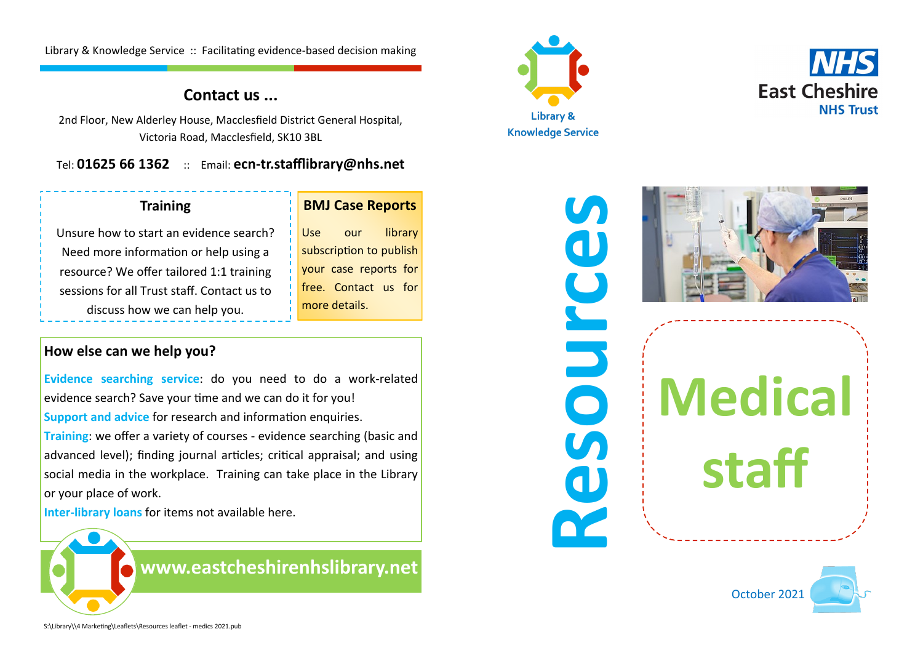Library & Knowledge Service :: Facilitating evidence-based decision making

## **Contact us ...**

2nd Floor, New Alderley House, Macclesfield District General Hospital, Victoria Road, Macclesfield, SK10 3BL

Tel: **01625 66 1362** :: Email: **ecn-tr.stafflibrary@nhs.net**

## **Training**

#### **BMJ Case Reports**

Use our library subscription to publish your case reports for free. Contact us for

more details.

Unsure how to start an evidence search? Need more information or help using a resource? We offer tailored 1:1 training sessions for all Trust staff. Contact us to discuss how we can help you.

### **How else can we help you?**

**Evidence searching service**: do you need to do a work-related evidence search? Save your time and we can do it for you! **Support and advice** for research and information enquiries.

**Training**: we offer a variety of courses - evidence searching (basic and advanced level); finding journal articles; critical appraisal; and using social media in the workplace. Training can take place in the Library or your place of work.

**Inter-library loans** for items not available here.

**[www.eastcheshirenhslibrary.net](http://www.eastcheshirenhslibrary.net)**